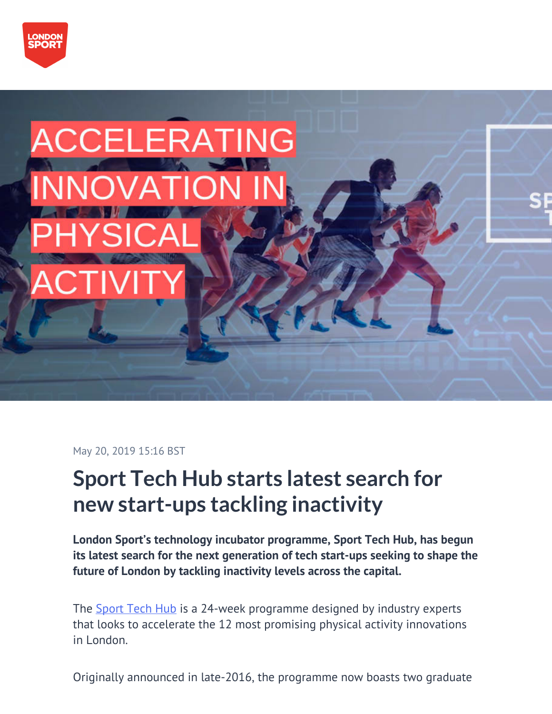



May 20, 2019 15:16 BST

# **Sport Tech Hub starts latest search for new start-ups tackling inactivity**

**London Sport's technology incubator programme, Sport Tech Hub, has begun its latest search for the next generation of tech start-ups seeking to shape the future of London by tackling inactivity levels across the capital.**

The [Sport Tech Hub](https://www.sporttechhub.co.uk/) is a 24-week programme designed by industry experts that looks to accelerate the 12 most promising physical activity innovations in London.

Originally announced in late-2016, the programme now boasts two graduate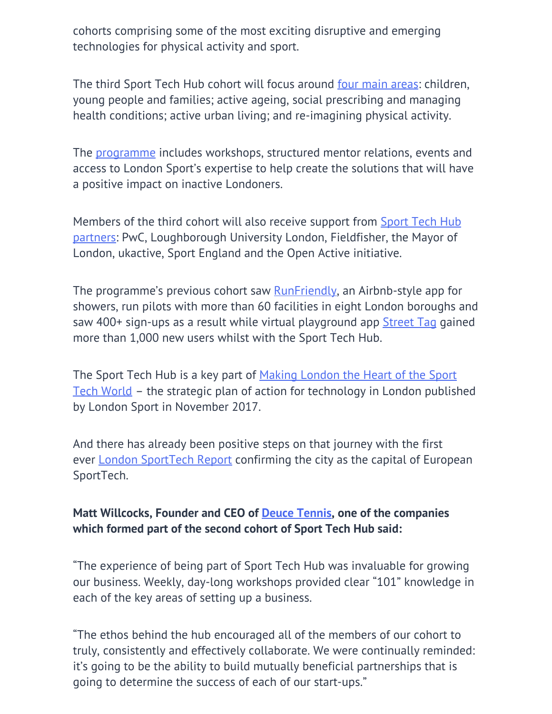cohorts comprising some of the most exciting disruptive and emerging technologies for physical activity and sport.

The third Sport Tech Hub cohort will focus around <u>[four main areas](https://www.sporttechhub.co.uk/apply-2/)</u>: children, young people and families; active ageing, social prescribing and managing health conditions; active urban living; and re-imagining physical activity.

The [programme](https://londonsport.org/wp-content/uploads/2019/05/Cohort-3-Application-pack.pdf) includes workshops, structured mentor relations, events and access to London Sport's expertise to help create the solutions that will have a positive impact on inactive Londoners.

Members of the third cohort will also receive support from **Sport Tech Hub** [partners:](https://www.sporttechhub.co.uk/partners/) PwC, Loughborough University London, Fieldfisher, the Mayor of London, ukactive, Sport England and the Open Active initiative.

The programme's previous cohort saw **RunFriendly**, an Airbnb-style app for showers, run pilots with more than 60 facilities in eight London boroughs and saw 400+ sign-ups as a result while virtual playground app [Street Tag](https://streettag.co.uk/) gained more than 1,000 new users whilst with the Sport Tech Hub.

The Sport Tech Hub is a key part of [Making London the Heart of the Sport](https://londonsport.org/making-london-heart-sport-tech-world-2/) [Tech World](https://londonsport.org/making-london-heart-sport-tech-world-2/) – the strategic plan of action for technology in London published by London Sport in November 2017.

And there has already been positive steps on that journey with the first ever [London SportTech Report](https://news.londonsport.org/pressreleases/first-ever-london-sporttech-report-cements-londons-position-as-capital-of-european-sporttech-2864039) confirming the city as the capital of European SportTech.

## **Matt Willcocks, Founder and CEO of [Deuce Tennis,](https://www.deucetennis.com/) one of the companies which formed part of the second cohort of Sport Tech Hub said:**

"The experience of being part of Sport Tech Hub was invaluable for growing our business. Weekly, day-long workshops provided clear "101" knowledge in each of the key areas of setting up a business.

"The ethos behind the hub encouraged all of the members of our cohort to truly, consistently and effectively collaborate. We were continually reminded: it's going to be the ability to build mutually beneficial partnerships that is going to determine the success of each of our start-ups."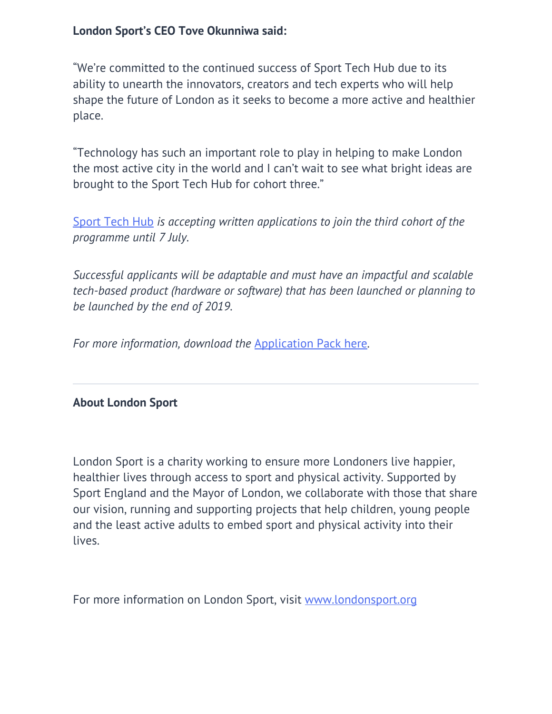### **London Sport's CEO Tove Okunniwa said:**

"We're committed to the continued success of Sport Tech Hub due to its ability to unearth the innovators, creators and tech experts who will help shape the future of London as it seeks to become a more active and healthier place.

"Technology has such an important role to play in helping to make London the most active city in the world and I can't wait to see what bright ideas are brought to the Sport Tech Hub for cohort three."

[Sport Tech Hub](https://www.sporttechhub.co.uk/) *is accepting written applications to join the third cohort of the programme until 7 July.*

*Successful applicants will be adaptable and must have an impactful and scalable tech-based product (hardware or software) that has been launched or planning to be launched by the end of 2019.*

*For more information, download the* [Application Pack here](https://londonsport.org/wp-content/uploads/2019/05/Cohort-3-Application-pack.pdf)*.*

#### **About London Sport**

London Sport is a charity working to ensure more Londoners live happier, healthier lives through access to sport and physical activity. Supported by Sport England and the Mayor of London, we collaborate with those that share our vision, running and supporting projects that help children, young people and the least active adults to embed sport and physical activity into their lives.

For more information on London Sport, visit [www.londonsport.org](http://www.londonsport.org/)